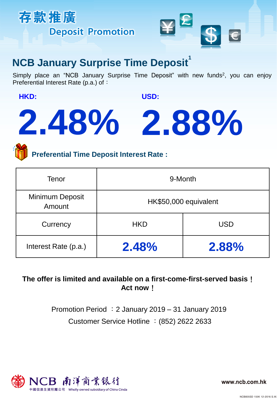



## **NCB January Surprise Time Deposit**

Simply place an "NCB January Surprise Time Deposit" with new funds<sup>2</sup>, you can enjoy Preferential Interest Rate (p.a.) of:

**HKD:** 

**USD:** 

# **2.48% 2.88%**

**Preferential Time Deposit Interest Rate :**

| Tenor                     | 9-Month               |            |
|---------------------------|-----------------------|------------|
| Minimum Deposit<br>Amount | HK\$50,000 equivalent |            |
| Currency                  | <b>HKD</b>            | <b>USD</b> |
| Interest Rate (p.a.)      | 2.48%                 | 2.88%      |

## **The offer is limited and available on a first-come-first-served basis**! **Act now**!

Customer Service Hotline :(852) 2622 2633 Promotion Period :2 January 2019 – 31 January 2019



www.ncb.com.hk